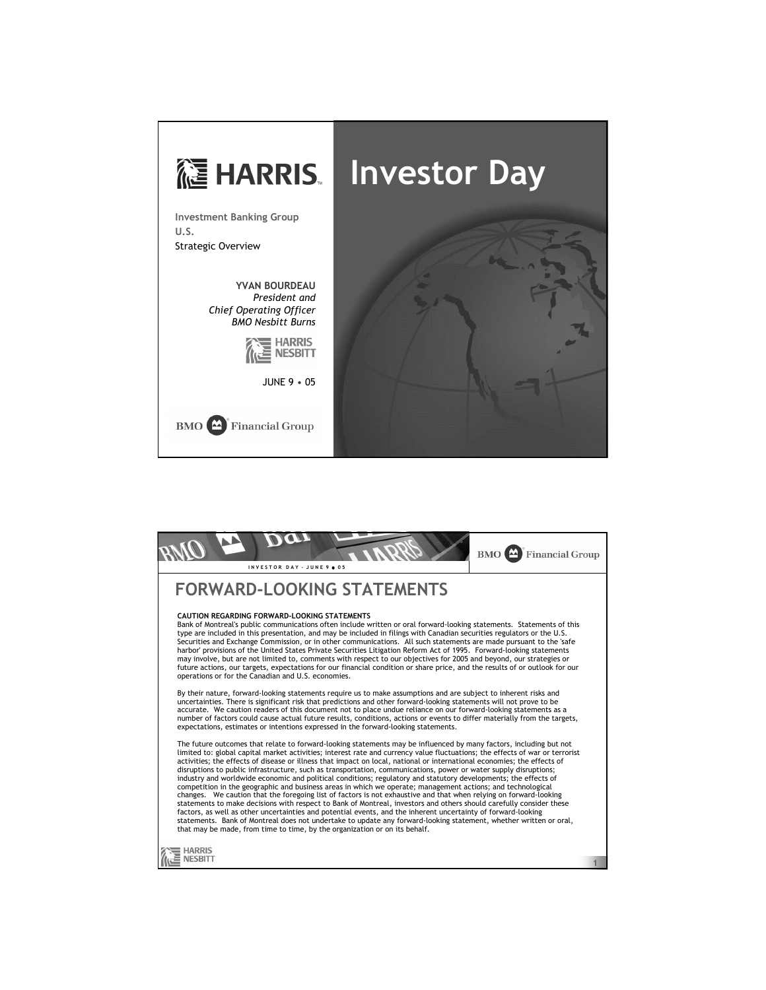

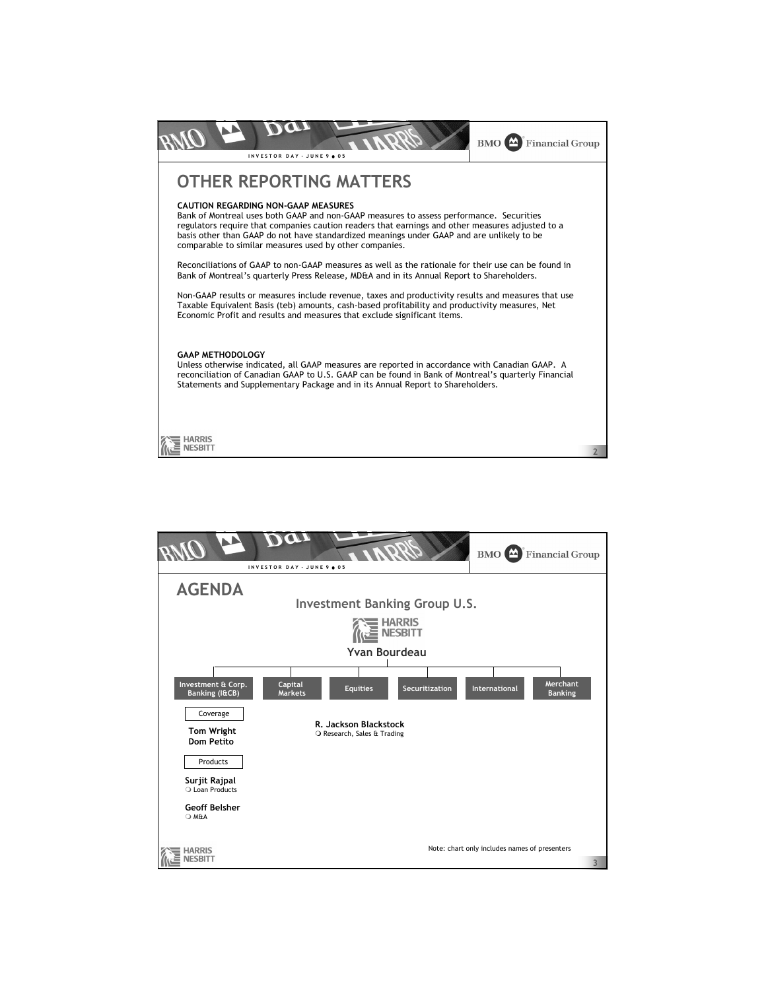

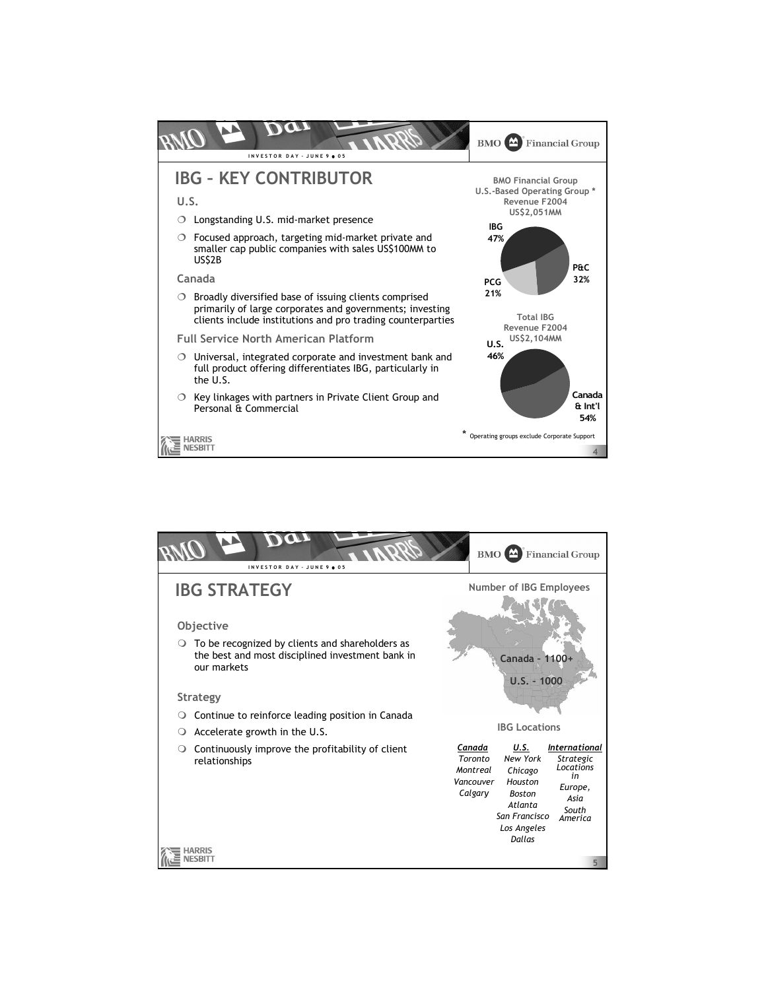

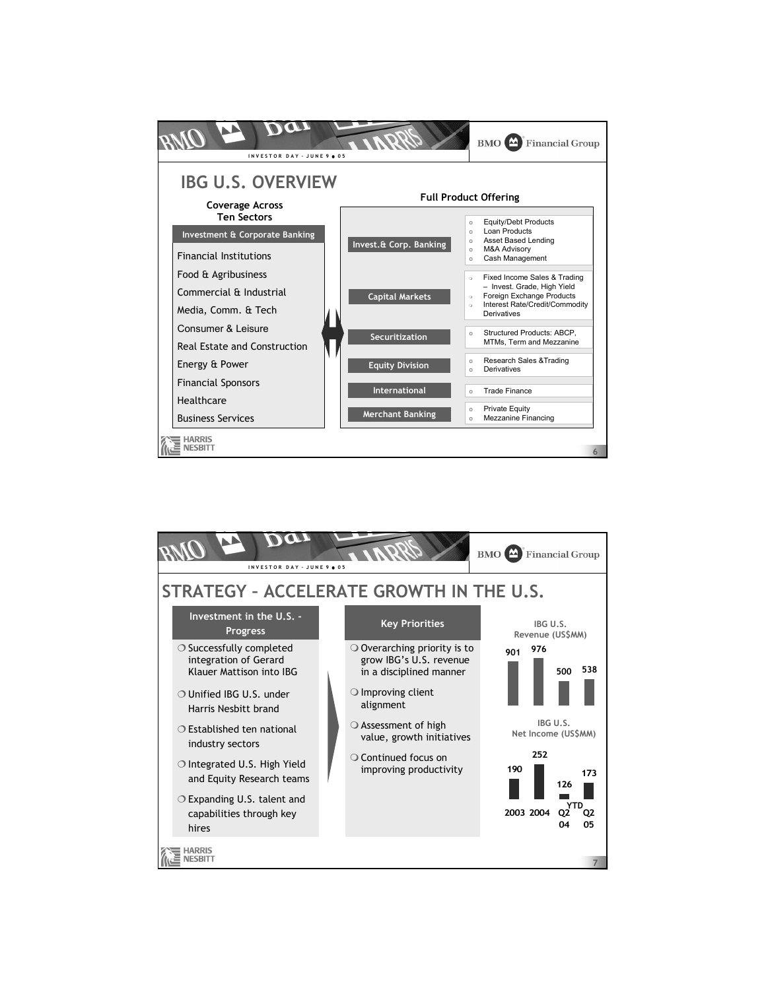

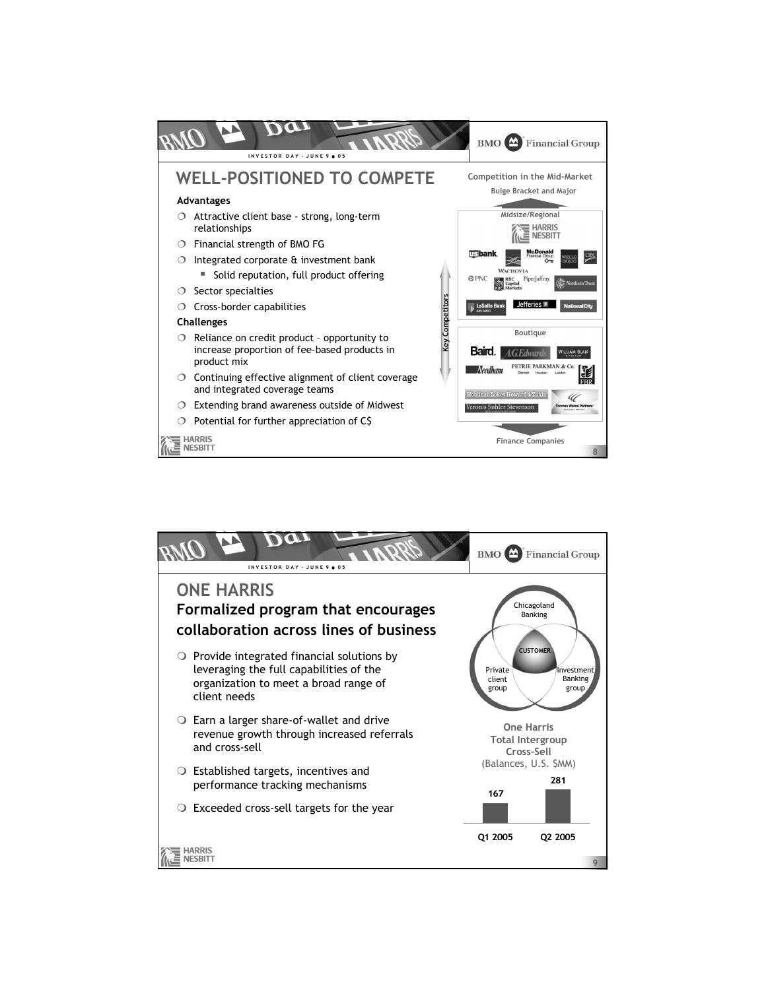

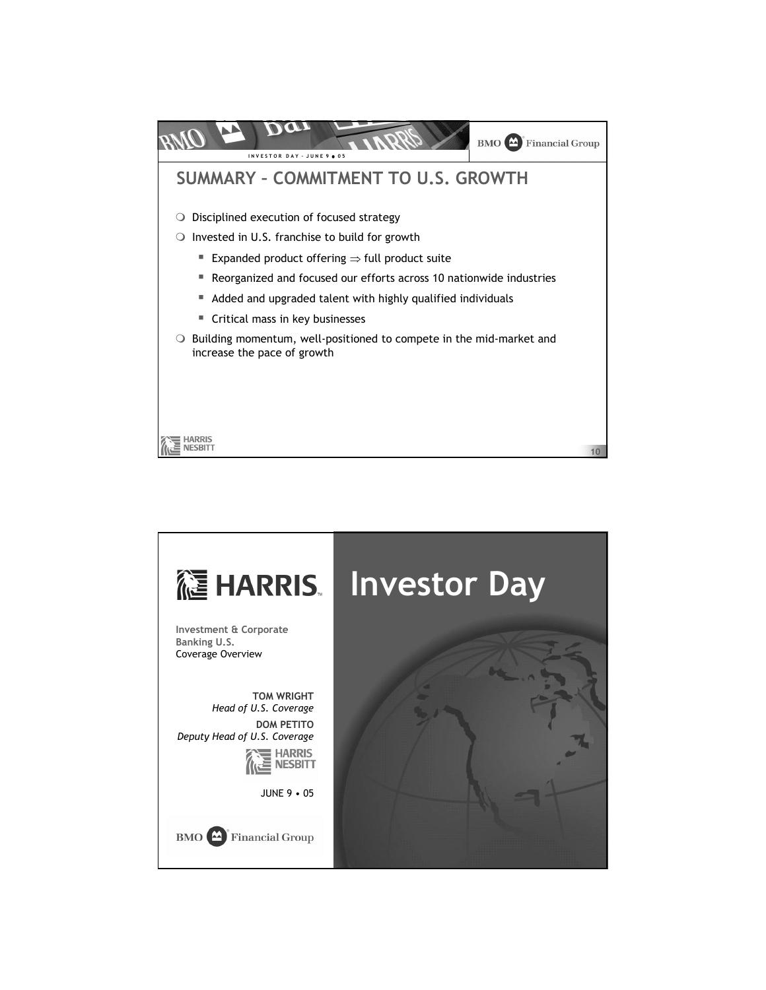

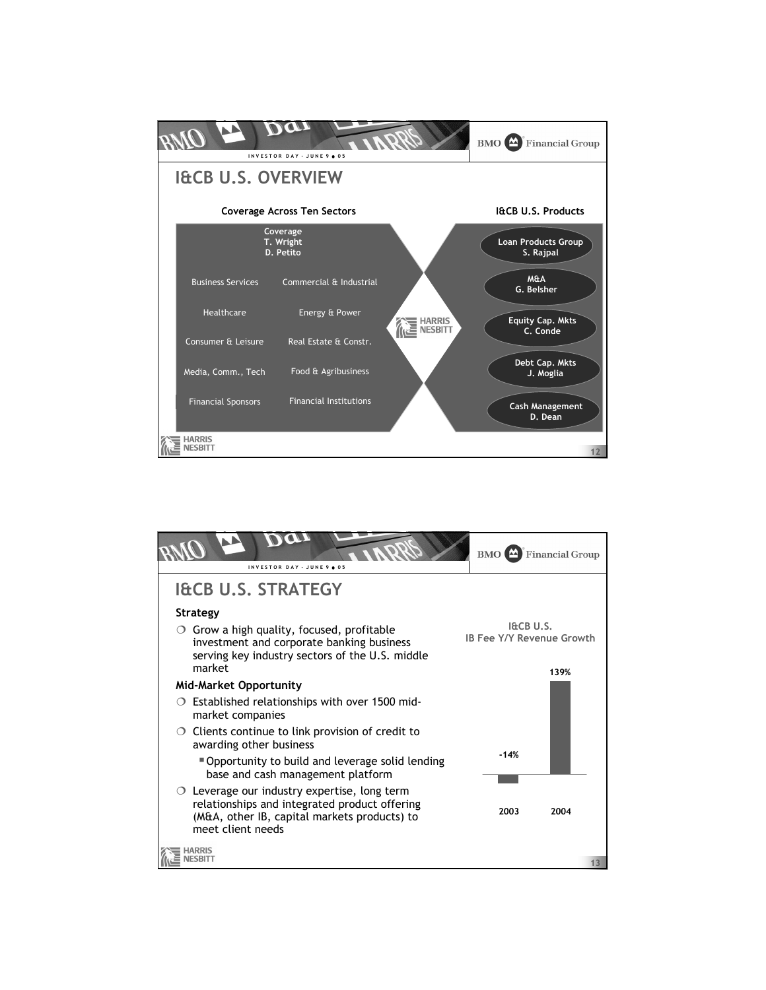

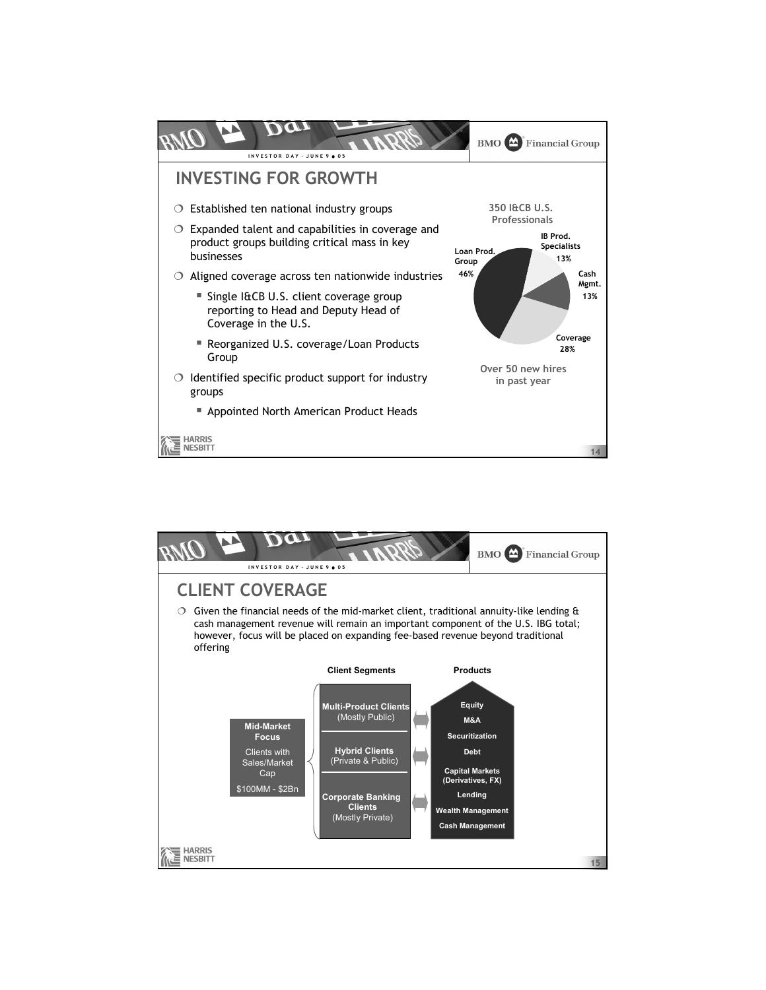

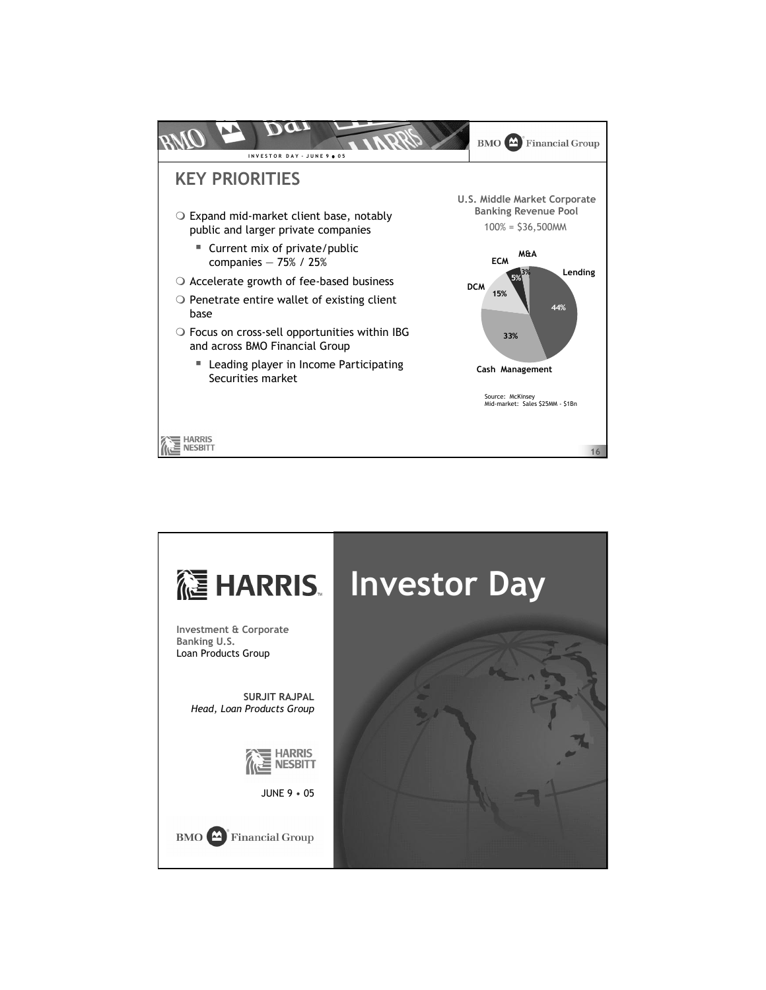

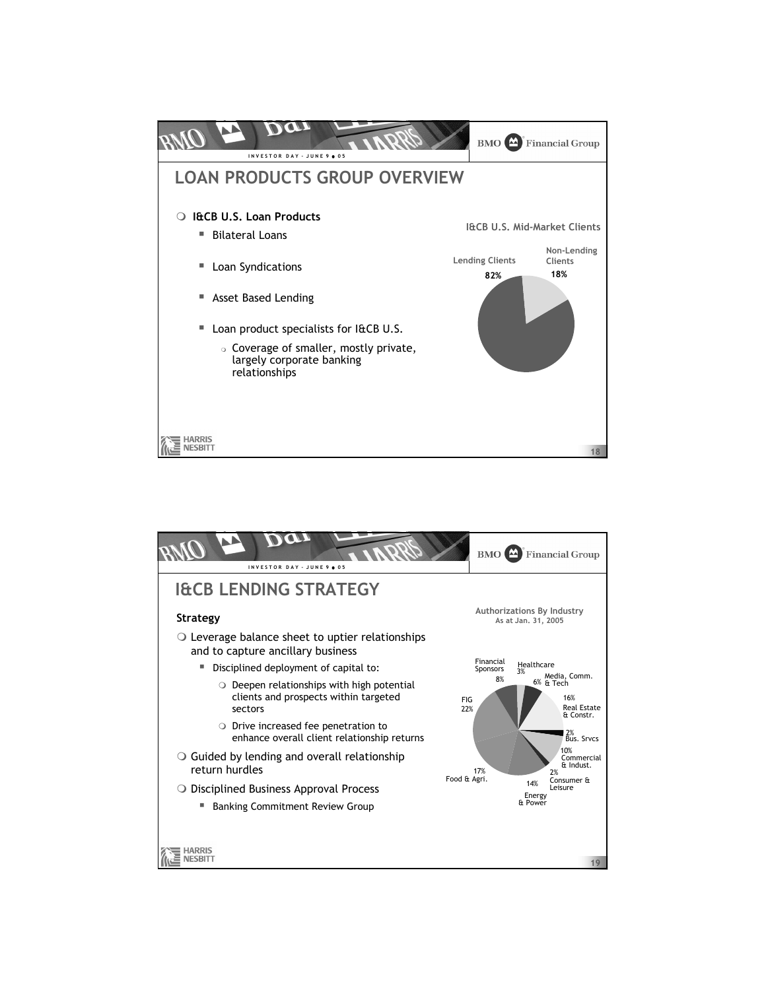

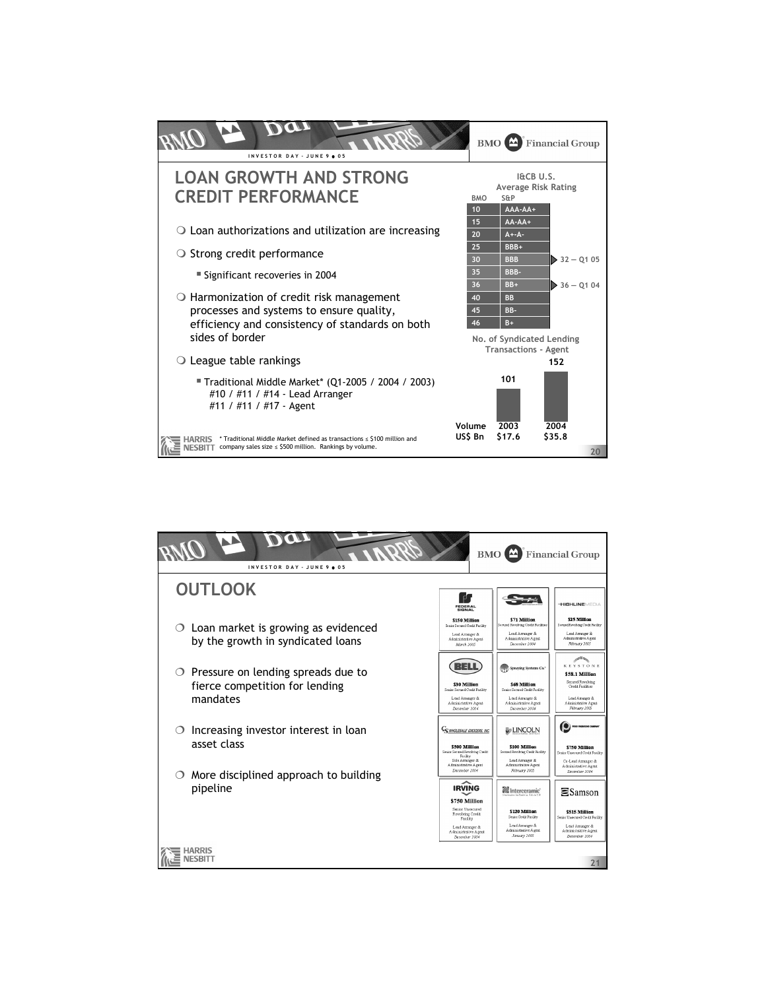

| INVESTOR DAY - JUNE 9 . 05                                                               | <b>BMO</b>                                                                                                                                 |                                                                                                                                   | <b>Financial Group</b>                                                                                                                                |  |
|------------------------------------------------------------------------------------------|--------------------------------------------------------------------------------------------------------------------------------------------|-----------------------------------------------------------------------------------------------------------------------------------|-------------------------------------------------------------------------------------------------------------------------------------------------------|--|
| <b>OUTLOOK</b>                                                                           | ď,<br>FEDERAL<br><b>SIGNAL</b>                                                                                                             |                                                                                                                                   | <b>THIGHLINE</b> MEDIA                                                                                                                                |  |
| Loan market is growing as evidenced<br>$\circ$<br>by the growth in syndicated loans      | \$150 Million<br>Senior Secured Cordit Facility<br>Lead Arranger &<br>Administrative Agent<br>March 2005                                   | \$71 Million<br>Secured Revolving Credit Facilities<br>Lead Arranger &<br>A dministrative Agent<br>December 2004                  | \$25 Million<br>Secured Revolving Cordit Farility<br>Lead Arranger &<br>Administrative Agent<br>February 2005                                         |  |
| $\circ$ Pressure on lending spreads due to<br>fierce competition for lending<br>mandates | 34 비<br>\$30 Million<br>Sealer Secured Coolit Facility<br>Lead Arranger &<br>Administrative Agent<br>December 2004                         | Spraying Systems Co.<br>\$68 Million<br>Senior Secured Credit Facility<br>Lead Amanger &<br>Administrative Agent<br>December 2004 | <b>SERA</b><br><b>KEYSTONE</b><br>\$58.1 Million<br>Secured Revolving<br>Credit Facilities<br>Lead Amanger &<br>Administrative Agent<br>February 2005 |  |
| Increasing investor interest in loan<br>◯<br>asset class                                 | <b>COMMOLESALE GROCERS, INC.</b><br>\$500 Million<br>Senior Secured Revolving Credit<br>Facility<br>Sole Amanger &<br>Administrative Agent | <b>UNCOLN</b><br>\$100 Million<br>Secured Revolving Credit Facility<br>Lead Arranger &<br>Administrative Agent                    | \$750 Million<br>Senior Unsecured Credit Facility<br>Co-Lead Arranger &<br>A dministrative Agent                                                      |  |
| More disciplined approach to building<br>pipeline                                        | December 2004<br><b>IRVING</b><br>\$750 Million<br>Senior Unsecured                                                                        | February 2005<br>Interceramic<br>\$120 Million                                                                                    | December 2004<br>$\Xi$ Samson<br>\$515 Million                                                                                                        |  |
|                                                                                          | Revolving Credit<br>Facility<br>Lead Arranger &<br>A dministrative A gent<br>December 2004                                                 | Senior Credit Facility<br>Lead Arranger &<br>Administrative Agent<br>January 2005                                                 | Sergior Unsequed Caedit Facility<br>Lead Arranger &<br>Administrative Agent<br>December 2004                                                          |  |
| 21                                                                                       |                                                                                                                                            |                                                                                                                                   |                                                                                                                                                       |  |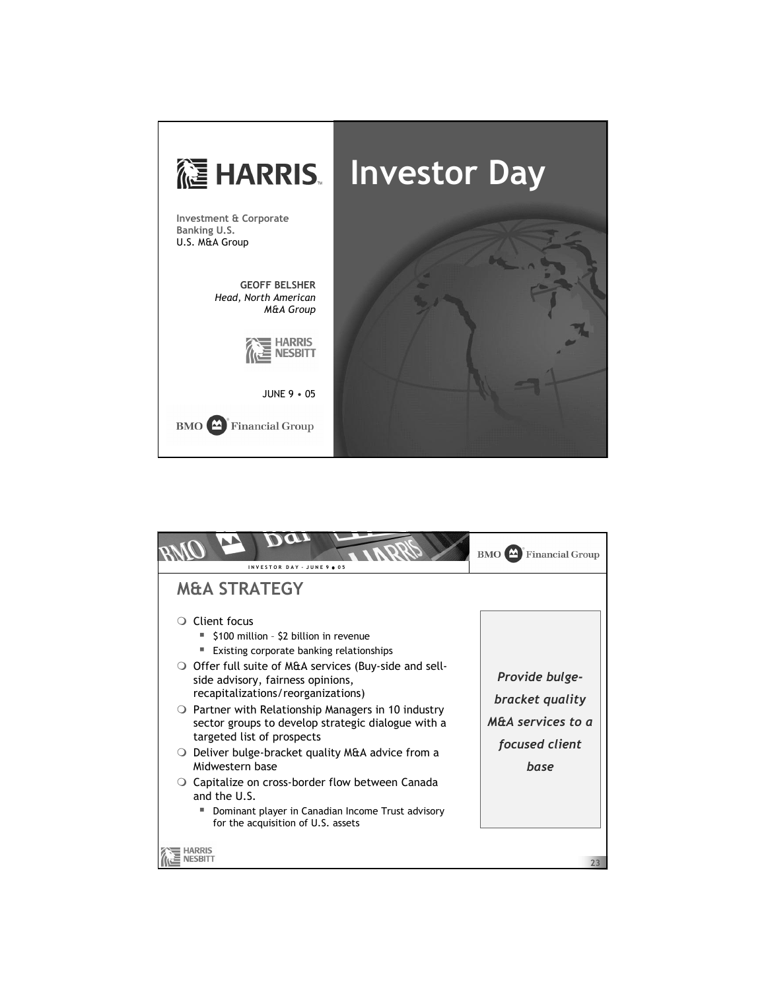

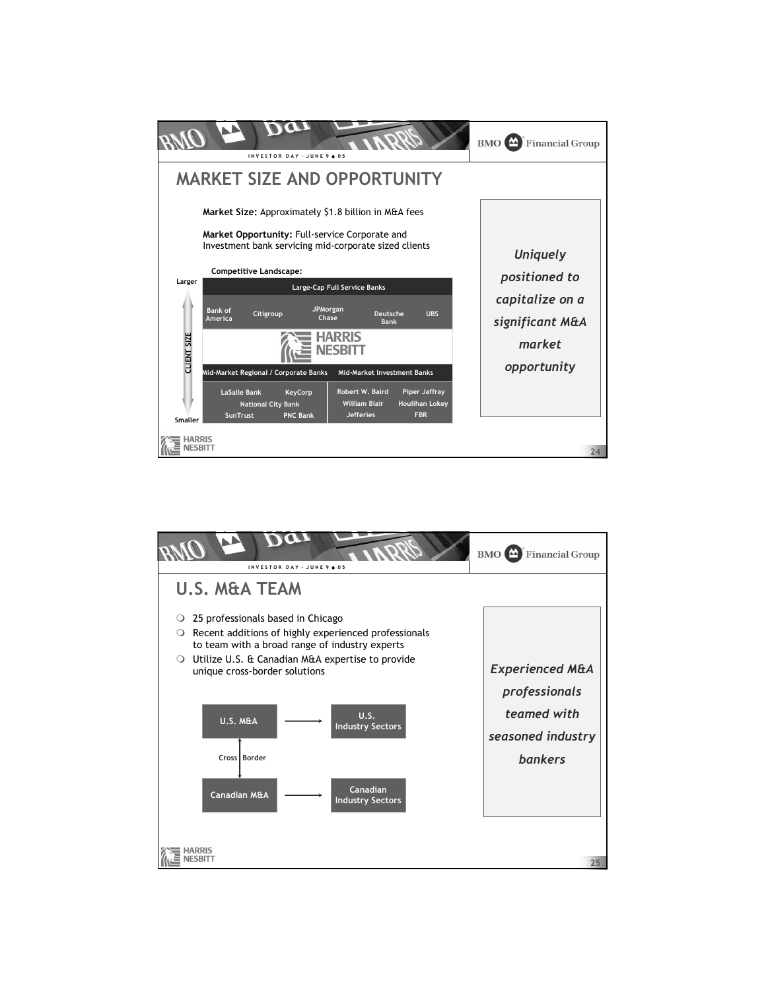

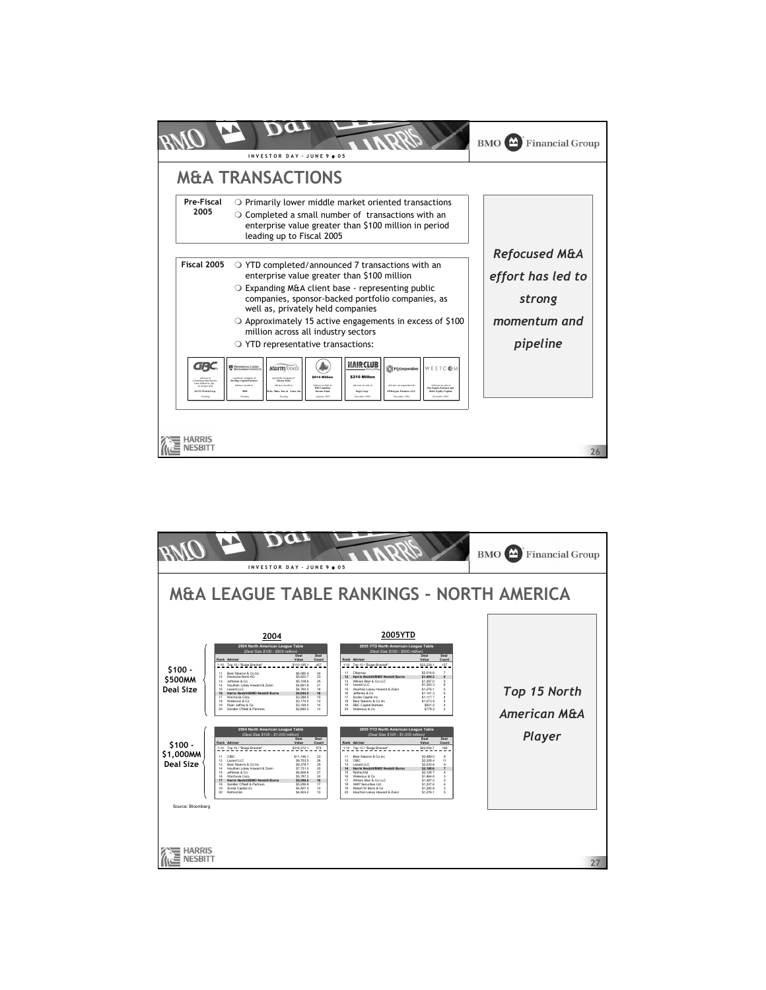|                                                                                                      | INVESTOR DAY - JUNE 9 . 05                                                                                                                                                                                                                                                                                                                                                                                                                                                                                                                                                                                                                                             | $BMO$ $\triangle$<br><b>Financial Group</b>                                         |  |  |
|------------------------------------------------------------------------------------------------------|------------------------------------------------------------------------------------------------------------------------------------------------------------------------------------------------------------------------------------------------------------------------------------------------------------------------------------------------------------------------------------------------------------------------------------------------------------------------------------------------------------------------------------------------------------------------------------------------------------------------------------------------------------------------|-------------------------------------------------------------------------------------|--|--|
|                                                                                                      | <b>M&amp;A TRANSACTIONS</b>                                                                                                                                                                                                                                                                                                                                                                                                                                                                                                                                                                                                                                            |                                                                                     |  |  |
| Pre-Fiscal<br>2005                                                                                   | $\circ$ Primarily lower middle market oriented transactions<br>$\circ$ Completed a small number of transactions with an<br>enterprise value greater than \$100 million in period<br>leading up to Fiscal 2005                                                                                                                                                                                                                                                                                                                                                                                                                                                          |                                                                                     |  |  |
| Fiscal 2005                                                                                          | $\circ$ YTD completed/announced 7 transactions with an<br>enterprise value greater than \$100 million<br>$\circ$ Expanding M&A client base - representing public<br>companies, sponsor-backed portfolio companies, as<br>well as, privately held companies<br>$\circ$ Approximately 15 active engagements in excess of \$100<br>million across all industry sectors<br>$\circ$ YTD representative transactions:                                                                                                                                                                                                                                                        | <b>Refocused M&amp;A</b><br>effort has led to<br>strong<br>momentum and<br>pipeline |  |  |
| GRC<br>centraling Sharaholder<br>Lane Industries, Inc.<br>in mereor with<br>ACCO Wedd Corp<br>Preder | HAIRCLUB<br>PROFESSIONAL CARRER<br>TO DEVELOPMENT INSTITUTE<br>sturmfoods<br>WESTCOM<br><b>O</b> PQ Corporation<br>\$914 Million<br>\$210 Million<br>a portfolio company of<br>Sterling Capital Partners<br>a portfolio company of<br>Mason Wells<br>Adviser on Sala to<br>Advisor on acquisition by<br>Advisor on sale to<br>Adviser on sale to<br>Advisor en sale to<br>Advisor on sale to<br><b>BELCHARTH</b><br>One Equity Partners and<br>JPMorgan Partners, LLC<br>TRD<br><b>Revis Corp.</b><br>Mass Tate & Europe<br><b>Income Fund</b><br><b>BofA Equity Capital</b><br>Pendin<br><b>January 200</b><br>December 200<br>December 200<br>December 20<br>Pending |                                                                                     |  |  |
|                                                                                                      |                                                                                                                                                                                                                                                                                                                                                                                                                                                                                                                                                                                                                                                                        | 26                                                                                  |  |  |

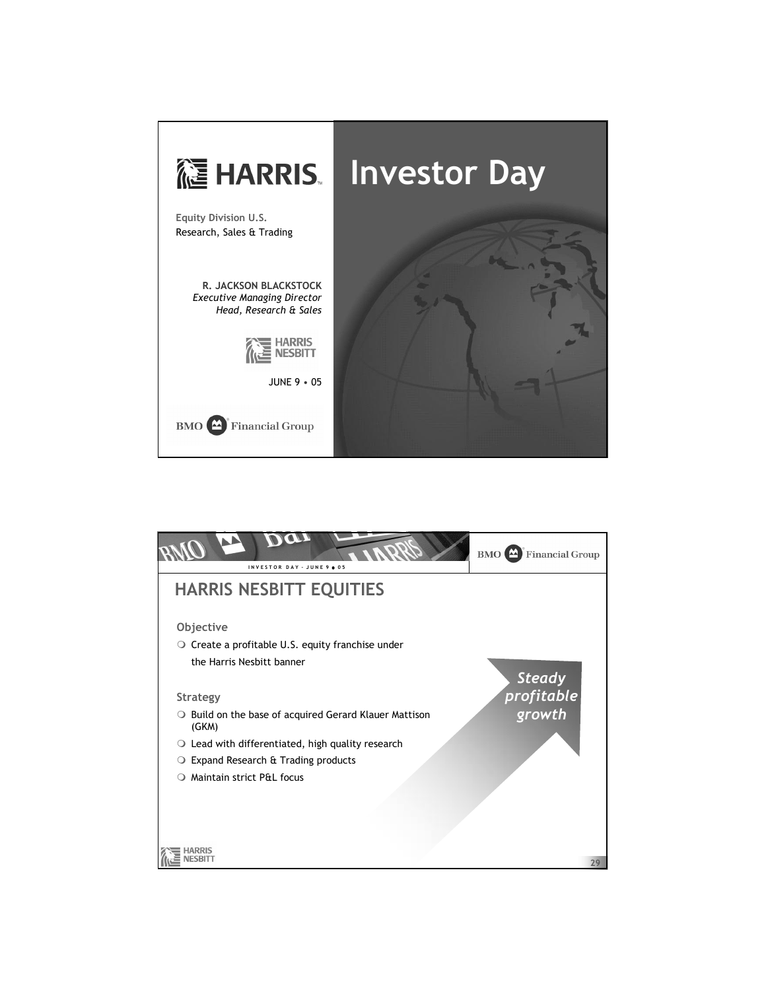

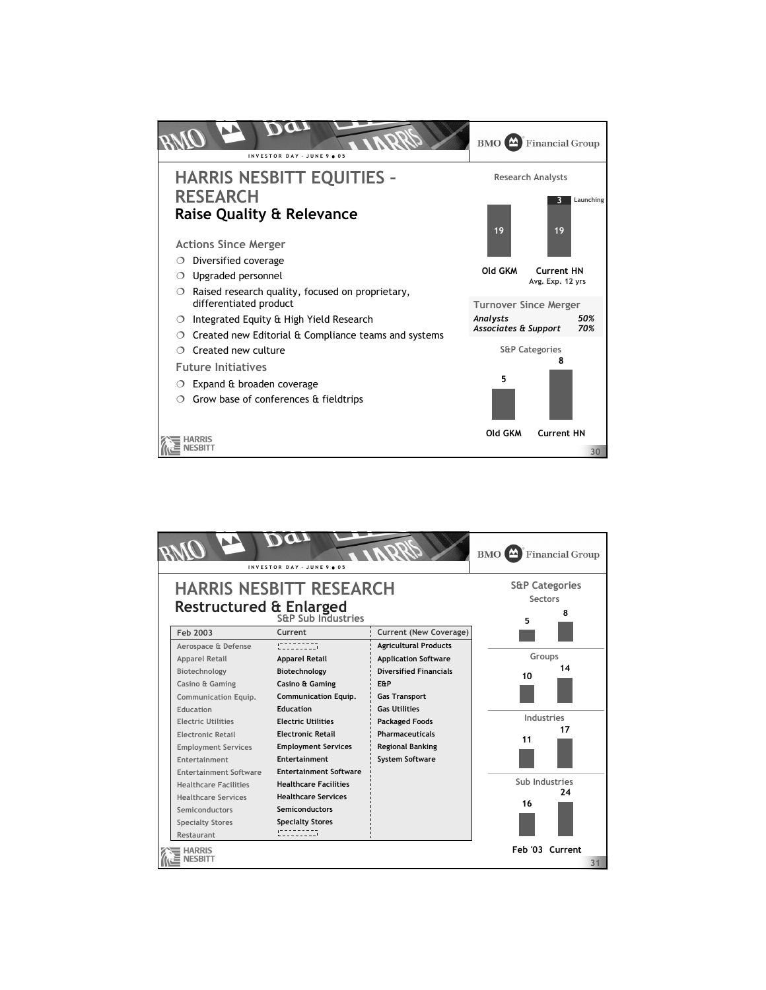

|                                                                                                       |                               | INVESTOR DAY - JUNE 9 . 05        |                                                | <b>BMO</b> Financial Group |  |
|-------------------------------------------------------------------------------------------------------|-------------------------------|-----------------------------------|------------------------------------------------|----------------------------|--|
| <b>HARRIS NESBITT RESEARCH</b><br><b>Restructured &amp; Enlarged</b><br><b>S&amp;P Sub Industries</b> |                               |                                   | <b>S&amp;P Categories</b><br>Sectors<br>8<br>5 |                            |  |
|                                                                                                       | Feb 2003                      | Current                           | <b>Current (New Coverage)</b>                  |                            |  |
|                                                                                                       | Aerospace & Defense           | :---------                        | <b>Agricultural Products</b>                   |                            |  |
|                                                                                                       | <b>Apparel Retail</b>         | <b>Apparel Retail</b>             | <b>Application Software</b>                    | Groups                     |  |
|                                                                                                       | Biotechnology                 | Biotechnology                     | <b>Diversified Financials</b>                  | 14<br>10                   |  |
|                                                                                                       | Casino & Gaming               | Casino & Gaming                   | E&P                                            |                            |  |
|                                                                                                       | Communication Equip.          | <b>Communication Equip.</b>       | <b>Gas Transport</b>                           |                            |  |
|                                                                                                       | Education                     | <b>Education</b>                  | <b>Gas Utilities</b>                           |                            |  |
|                                                                                                       | <b>Flectric Utilities</b>     | <b>Flectric Utilities</b>         | <b>Packaged Foods</b>                          | Industries                 |  |
|                                                                                                       | <b>Electronic Retail</b>      | <b>Electronic Retail</b>          | <b>Pharmaceuticals</b>                         | 17<br>11                   |  |
|                                                                                                       | <b>Employment Services</b>    | <b>Employment Services</b>        | <b>Regional Banking</b>                        |                            |  |
|                                                                                                       | <b>Entertainment</b>          | Entertainment                     | <b>System Software</b>                         |                            |  |
|                                                                                                       | <b>Entertainment Software</b> | <b>Entertainment Software</b>     |                                                |                            |  |
|                                                                                                       | <b>Healthcare Facilities</b>  | <b>Healthcare Facilities</b>      |                                                | Sub Industries             |  |
|                                                                                                       | <b>Healthcare Services</b>    | <b>Healthcare Services</b>        |                                                | 24                         |  |
|                                                                                                       | Semiconductors                | Semiconductors                    |                                                | 16                         |  |
|                                                                                                       | <b>Specialty Stores</b>       | <b>Specialty Stores</b>           |                                                |                            |  |
|                                                                                                       | Restaurant                    | <b>Contract Contract District</b> |                                                |                            |  |
|                                                                                                       | Feb '03 Current<br>31         |                                   |                                                |                            |  |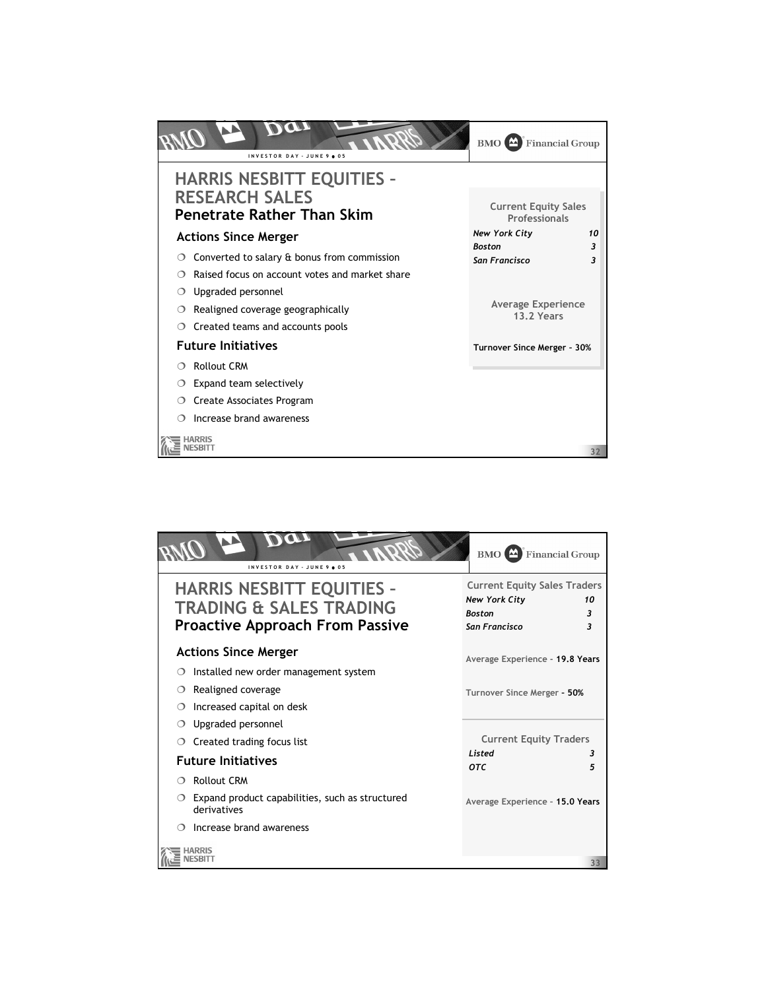

| INVESTOR DAY - JUNE 9 . 05                                                                                       | Financial Group<br>$BMO$ <sup><math>\triangle</math></sup>                                                    |
|------------------------------------------------------------------------------------------------------------------|---------------------------------------------------------------------------------------------------------------|
| <b>HARRIS NESBITT EQUITIES -</b><br><b>TRADING &amp; SALES TRADING</b><br><b>Proactive Approach From Passive</b> | <b>Current Equity Sales Traders</b><br><b>New York City</b><br>10<br><b>Boston</b><br>3<br>San Francisco<br>3 |
| <b>Actions Since Merger</b>                                                                                      | Average Experience - 19.8 Years                                                                               |
| Installed new order management system<br>Realigned coverage<br>Increased capital on desk                         | Turnover Since Merger - 50%                                                                                   |
| Upgraded personnel<br>Created trading focus list                                                                 | <b>Current Equity Traders</b>                                                                                 |
| <b>Future Initiatives</b>                                                                                        | Listed<br>З<br><b>OTC</b><br>5                                                                                |
| Rollout CRM                                                                                                      |                                                                                                               |
| Expand product capabilities, such as structured<br>derivatives                                                   | Average Experience - 15.0 Years                                                                               |
| Increase brand awareness                                                                                         |                                                                                                               |
|                                                                                                                  | 33                                                                                                            |